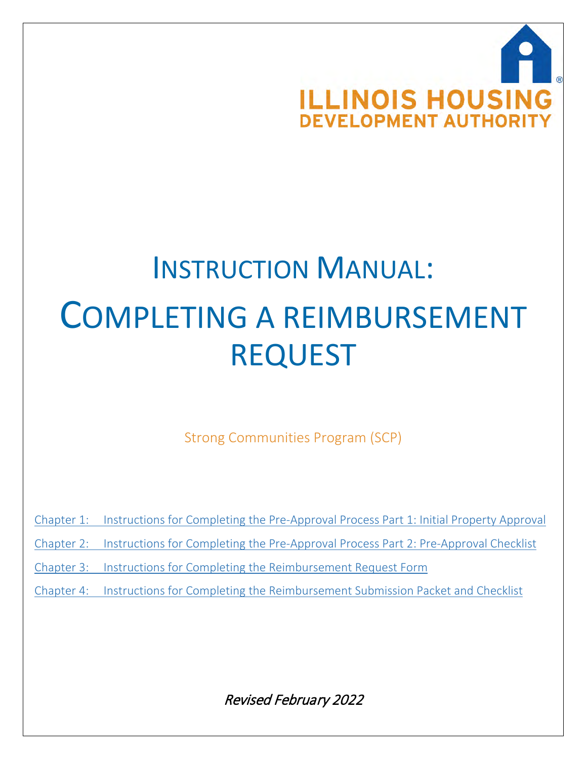

# INSTRUCTION MANUAL: COMPLETING A REIMBURSEMENT REQUEST

Strong Communities Program (SCP)

Chapter 1: Instructions for Completing the Pre-Approval Process Part 1: Initial Property Approval

Chapter 2: Instructions for Completing the Pre-Approval Process Part 2: Pre-Approval Checklist

Chapter 3: Instructions for Completing the Reimbursement Request Form

Chapter 4: Instructions for Completing the Reimbursement Submission Packet and Checklist

Revised February 2022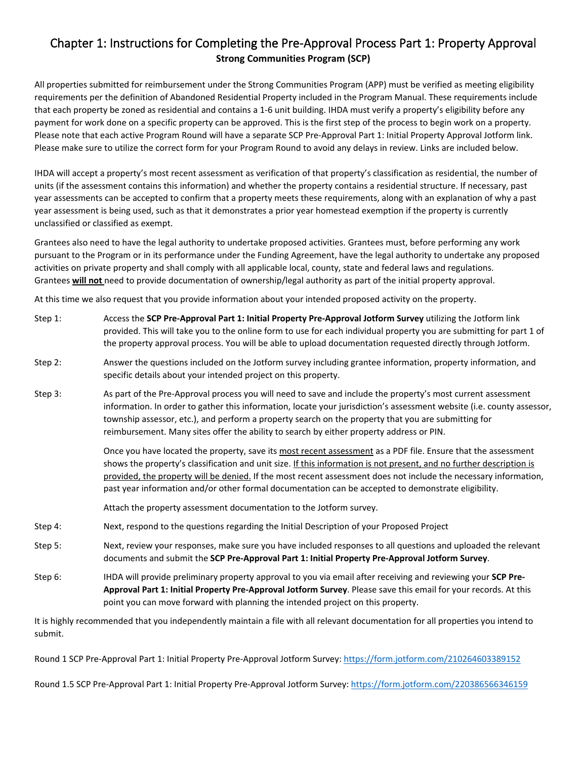## Chapter 1: Instructions for Completing the Pre-Approval Process Part 1: Property Approval **Strong Communities Program (SCP)**

All properties submitted for reimbursement under the Strong Communities Program (APP) must be verified as meeting eligibility requirements per the definition of Abandoned Residential Property included in the Program Manual. These requirements include that each property be zoned as residential and contains a 1-6 unit building. IHDA must verify a property's eligibility before any payment for work done on a specific property can be approved. This is the first step of the process to begin work on a property. Please note that each active Program Round will have a separate SCP Pre-Approval Part 1: Initial Property Approval Jotform link. Please make sure to utilize the correct form for your Program Round to avoid any delays in review. Links are included below.

IHDA will accept a property's most recent assessment as verification of that property's classification as residential, the number of units (if the assessment contains this information) and whether the property contains a residential structure. If necessary, past year assessments can be accepted to confirm that a property meets these requirements, along with an explanation of why a past year assessment is being used, such as that it demonstrates a prior year homestead exemption if the property is currently unclassified or classified as exempt.

Grantees also need to have the legal authority to undertake proposed activities. Grantees must, before performing any work pursuant to the Program or in its performance under the Funding Agreement, have the legal authority to undertake any proposed activities on private property and shall comply with all applicable local, county, state and federal laws and regulations. Grantees **will not** need to provide documentation of ownership/legal authority as part of the initial property approval.

At this time we also request that you provide information about your intended proposed activity on the property.

- Step 1: Access the **SCP Pre-Approval Part 1: Initial Property Pre-Approval Jotform Survey** utilizing the Jotform link provided. This will take you to the online form to use for each individual property you are submitting for part 1 of the property approval process. You will be able to upload documentation requested directly through Jotform.
- Step 2: Answer the questions included on the Jotform survey including grantee information, property information, and specific details about your intended project on this property.
- Step 3: As part of the Pre-Approval process you will need to save and include the property's most current assessment information. In order to gather this information, locate your jurisdiction's assessment website (i.e. county assessor, township assessor, etc.), and perform a property search on the property that you are submitting for reimbursement. Many sites offer the ability to search by either property address or PIN.

Once you have located the property, save its most recent assessment as a PDF file. Ensure that the assessment shows the property's classification and unit size. If this information is not present, and no further description is provided, the property will be denied. If the most recent assessment does not include the necessary information, past year information and/or other formal documentation can be accepted to demonstrate eligibility.

Attach the property assessment documentation to the Jotform survey.

- Step 4: Next, respond to the questions regarding the Initial Description of your Proposed Project
- Step 5: Next, review your responses, make sure you have included responses to all questions and uploaded the relevant documents and submit the **SCP Pre-Approval Part 1: Initial Property Pre-Approval Jotform Survey**.
- Step 6: IHDA will provide preliminary property approval to you via email after receiving and reviewing your **SCP Pre-Approval Part 1: Initial Property Pre-Approval Jotform Survey**. Please save this email for your records. At this point you can move forward with planning the intended project on this property.

It is highly recommended that you independently maintain a file with all relevant documentation for all properties you intend to submit.

Round 1 SCP Pre-Approval Part 1: Initial Property Pre-Approval Jotform Survey[: https://form.jotform.com/210264603389152](https://form.jotform.com/210264603389152)

Round 1.5 SCP Pre-Approval Part 1: Initial Property Pre-Approval Jotform Survey[: https://form.jotform.com/220386566346159](https://form.jotform.com/220386566346159)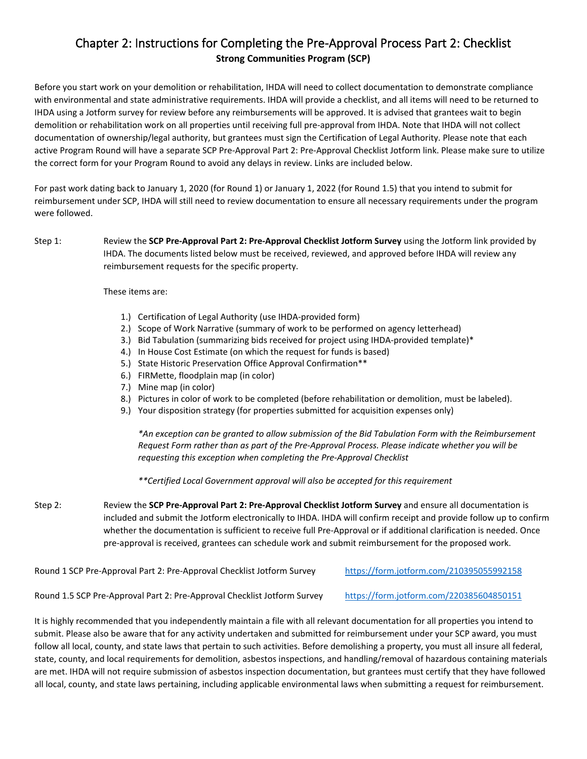## Chapter 2: Instructions for Completing the Pre-Approval Process Part 2: Checklist **Strong Communities Program (SCP)**

Before you start work on your demolition or rehabilitation, IHDA will need to collect documentation to demonstrate compliance with environmental and state administrative requirements. IHDA will provide a checklist, and all items will need to be returned to IHDA using a Jotform survey for review before any reimbursements will be approved. It is advised that grantees wait to begin demolition or rehabilitation work on all properties until receiving full pre-approval from IHDA. Note that IHDA will not collect documentation of ownership/legal authority, but grantees must sign the Certification of Legal Authority. Please note that each active Program Round will have a separate SCP Pre-Approval Part 2: Pre-Approval Checklist Jotform link. Please make sure to utilize the correct form for your Program Round to avoid any delays in review. Links are included below.

For past work dating back to January 1, 2020 (for Round 1) or January 1, 2022 (for Round 1.5) that you intend to submit for reimbursement under SCP, IHDA will still need to review documentation to ensure all necessary requirements under the program were followed.

### Step 1: Review the **SCP Pre-Approval Part 2: Pre-Approval Checklist Jotform Survey** using the Jotform link provided by IHDA. The documents listed below must be received, reviewed, and approved before IHDA will review any reimbursement requests for the specific property.

#### These items are:

- 1.) Certification of Legal Authority (use IHDA-provided form)
- 2.) Scope of Work Narrative (summary of work to be performed on agency letterhead)
- 3.) Bid Tabulation (summarizing bids received for project using IHDA-provided template)\*
- 4.) In House Cost Estimate (on which the request for funds is based)
- 5.) State Historic Preservation Office Approval Confirmation\*\*
- 6.) FIRMette, floodplain map (in color)
- 7.) Mine map (in color)
- 8.) Pictures in color of work to be completed (before rehabilitation or demolition, must be labeled).
- 9.) Your disposition strategy (for properties submitted for acquisition expenses only)

*\*An exception can be granted to allow submission of the Bid Tabulation Form with the Reimbursement Request Form rather than as part of the Pre-Approval Process. Please indicate whether you will be requesting this exception when completing the Pre-Approval Checklist*

*\*\*Certified Local Government approval will also be accepted for this requirement*

Step 2: Review the **SCP Pre-Approval Part 2: Pre-Approval Checklist Jotform Survey** and ensure all documentation is included and submit the Jotform electronically to IHDA. IHDA will confirm receipt and provide follow up to confirm whether the documentation is sufficient to receive full Pre-Approval or if additional clarification is needed. Once pre-approval is received, grantees can schedule work and submit reimbursement for the proposed work.

Round 1 SCP Pre-Approval Part 2: Pre-Approval Checklist Jotform Survey <https://form.jotform.com/210395055992158>

Round 1.5 SCP Pre-Approval Part 2: Pre-Approval Checklist Jotform Survey https://form.jotform.com/220385604850151

It is highly recommended that you independently maintain a file with all relevant documentation for all properties you intend to submit. Please also be aware that for any activity undertaken and submitted for reimbursement under your SCP award, you must follow all local, county, and state laws that pertain to such activities. Before demolishing a property, you must all insure all federal, state, county, and local requirements for demolition, asbestos inspections, and handling/removal of hazardous containing materials are met. IHDA will not require submission of asbestos inspection documentation, but grantees must certify that they have followed all local, county, and state laws pertaining, including applicable environmental laws when submitting a request for reimbursement.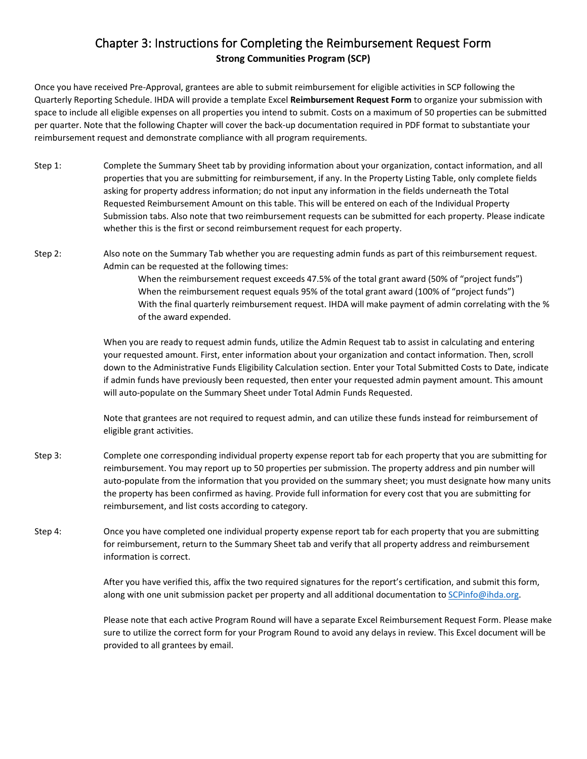## Chapter 3: Instructions for Completing the Reimbursement Request Form **Strong Communities Program (SCP)**

Once you have received Pre-Approval, grantees are able to submit reimbursement for eligible activities in SCP following the Quarterly Reporting Schedule. IHDA will provide a template Excel **Reimbursement Request Form** to organize your submission with space to include all eligible expenses on all properties you intend to submit. Costs on a maximum of 50 properties can be submitted per quarter. Note that the following Chapter will cover the back-up documentation required in PDF format to substantiate your reimbursement request and demonstrate compliance with all program requirements.

- Step 1: Complete the Summary Sheet tab by providing information about your organization, contact information, and all properties that you are submitting for reimbursement, if any. In the Property Listing Table, only complete fields asking for property address information; do not input any information in the fields underneath the Total Requested Reimbursement Amount on this table. This will be entered on each of the Individual Property Submission tabs. Also note that two reimbursement requests can be submitted for each property. Please indicate whether this is the first or second reimbursement request for each property.
- Step 2: Also note on the Summary Tab whether you are requesting admin funds as part of this reimbursement request. Admin can be requested at the following times:

When the reimbursement request exceeds 47.5% of the total grant award (50% of "project funds") When the reimbursement request equals 95% of the total grant award (100% of "project funds") With the final quarterly reimbursement request. IHDA will make payment of admin correlating with the % of the award expended.

When you are ready to request admin funds, utilize the Admin Request tab to assist in calculating and entering your requested amount. First, enter information about your organization and contact information. Then, scroll down to the Administrative Funds Eligibility Calculation section. Enter your Total Submitted Costs to Date, indicate if admin funds have previously been requested, then enter your requested admin payment amount. This amount will auto-populate on the Summary Sheet under Total Admin Funds Requested.

Note that grantees are not required to request admin, and can utilize these funds instead for reimbursement of eligible grant activities.

- Step 3: Complete one corresponding individual property expense report tab for each property that you are submitting for reimbursement. You may report up to 50 properties per submission. The property address and pin number will auto-populate from the information that you provided on the summary sheet; you must designate how many units the property has been confirmed as having. Provide full information for every cost that you are submitting for reimbursement, and list costs according to category.
- Step 4: Once you have completed one individual property expense report tab for each property that you are submitting for reimbursement, return to the Summary Sheet tab and verify that all property address and reimbursement information is correct.

After you have verified this, affix the two required signatures for the report's certification, and submit this form, along with one unit submission packet per property and all additional documentation to SCPinfo@ihda.org.

Please note that each active Program Round will have a separate Excel Reimbursement Request Form. Please make sure to utilize the correct form for your Program Round to avoid any delays in review. This Excel document will be provided to all grantees by email.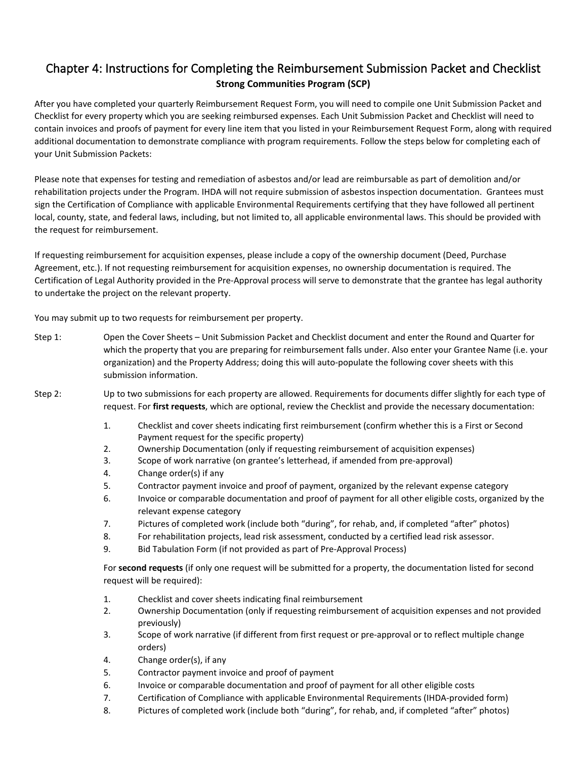## Chapter 4: Instructions for Completing the Reimbursement Submission Packet and Checklist **Strong Communities Program (SCP)**

After you have completed your quarterly Reimbursement Request Form, you will need to compile one Unit Submission Packet and Checklist for every property which you are seeking reimbursed expenses. Each Unit Submission Packet and Checklist will need to contain invoices and proofs of payment for every line item that you listed in your Reimbursement Request Form, along with required additional documentation to demonstrate compliance with program requirements. Follow the steps below for completing each of your Unit Submission Packets:

Please note that expenses for testing and remediation of asbestos and/or lead are reimbursable as part of demolition and/or rehabilitation projects under the Program. IHDA will not require submission of asbestos inspection documentation. Grantees must sign the Certification of Compliance with applicable Environmental Requirements certifying that they have followed all pertinent local, county, state, and federal laws, including, but not limited to, all applicable environmental laws. This should be provided with the request for reimbursement.

If requesting reimbursement for acquisition expenses, please include a copy of the ownership document (Deed, Purchase Agreement, etc.). If not requesting reimbursement for acquisition expenses, no ownership documentation is required. The Certification of Legal Authority provided in the Pre-Approval process will serve to demonstrate that the grantee has legal authority to undertake the project on the relevant property.

You may submit up to two requests for reimbursement per property.

- Step 1: Open the Cover Sheets Unit Submission Packet and Checklist document and enter the Round and Quarter for which the property that you are preparing for reimbursement falls under. Also enter your Grantee Name (i.e. your organization) and the Property Address; doing this will auto-populate the following cover sheets with this submission information.
- Step 2: Up to two submissions for each property are allowed. Requirements for documents differ slightly for each type of request. For **first requests**, which are optional, review the Checklist and provide the necessary documentation:
	- 1. Checklist and cover sheets indicating first reimbursement (confirm whether this is a First or Second Payment request for the specific property)
	- 2. Ownership Documentation (only if requesting reimbursement of acquisition expenses)
	- 3. Scope of work narrative (on grantee's letterhead, if amended from pre-approval)
	- 4. Change order(s) if any
	- 5. Contractor payment invoice and proof of payment, organized by the relevant expense category
	- 6. Invoice or comparable documentation and proof of payment for all other eligible costs, organized by the relevant expense category
	- 7. Pictures of completed work (include both "during", for rehab, and, if completed "after" photos)
	- 8. For rehabilitation projects, lead risk assessment, conducted by a certified lead risk assessor.
	- 9. Bid Tabulation Form (if not provided as part of Pre-Approval Process)

For **second requests** (if only one request will be submitted for a property, the documentation listed for second request will be required):

- 1. Checklist and cover sheets indicating final reimbursement
- 2. Ownership Documentation (only if requesting reimbursement of acquisition expenses and not provided previously)
- 3. Scope of work narrative (if different from first request or pre-approval or to reflect multiple change orders)
- 4. Change order(s), if any
- 5. Contractor payment invoice and proof of payment
- 6. Invoice or comparable documentation and proof of payment for all other eligible costs
- 7. Certification of Compliance with applicable Environmental Requirements (IHDA-provided form)
- 8. Pictures of completed work (include both "during", for rehab, and, if completed "after" photos)